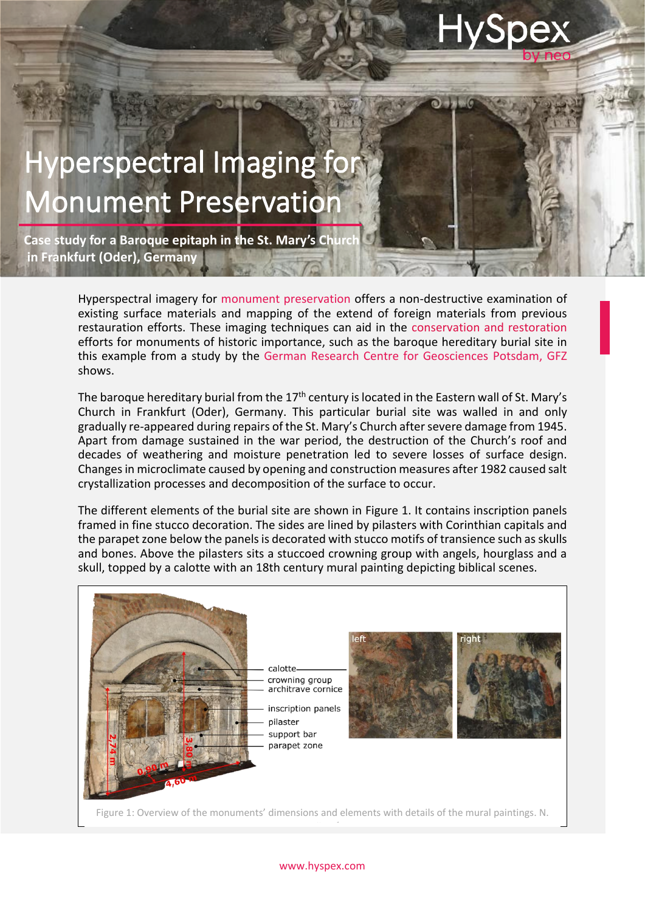## **HySpe**

## perspectral Imaging for **Ionument Preservation**

İ

۱ Ë

> **Case study for a Baroque epitaph in the St. Mary's Chur in Frankfurt (Oder), Germany**

> > Hyperspectral imagery for monument preservation offers a non-destructive examination of existing surface materials and mapping of the extend of foreign materials from previous restauration efforts. These imaging techniques can aid in the conservation and restoration efforts for monuments of historic importance, such as the baroque hereditary burial site in this example from a study by the German Research Centre for Geosciences Potsdam, GFZ shows.

> > The baroque hereditary burial from the  $17<sup>th</sup>$  century is located in the Eastern wall of St. Mary's Church in Frankfurt (Oder), Germany. This particular burial site was walled in and only gradually re-appeared during repairs of the St. Mary's Church after severe damage from 1945. Apart from damage sustained in the war period, the destruction of the Church's roof and decades of weathering and moisture penetration led to severe losses of surface design. Changes in microclimate caused by opening and construction measures after 1982 caused salt crystallization processes and decomposition of the surface to occur.

> > The different elements of the burial site are shown in Figure 1. It contains inscription panels framed in fine stucco decoration. The sides are lined by pilasters with Corinthian capitals and the parapet zone below the panels is decorated with stucco motifs of transience such as skulls and bones. Above the pilasters sits a stuccoed crowning group with angels, hourglass and a skull, topped by a calotte with an 18th century mural painting depicting biblical scenes.



## www.hyspex.com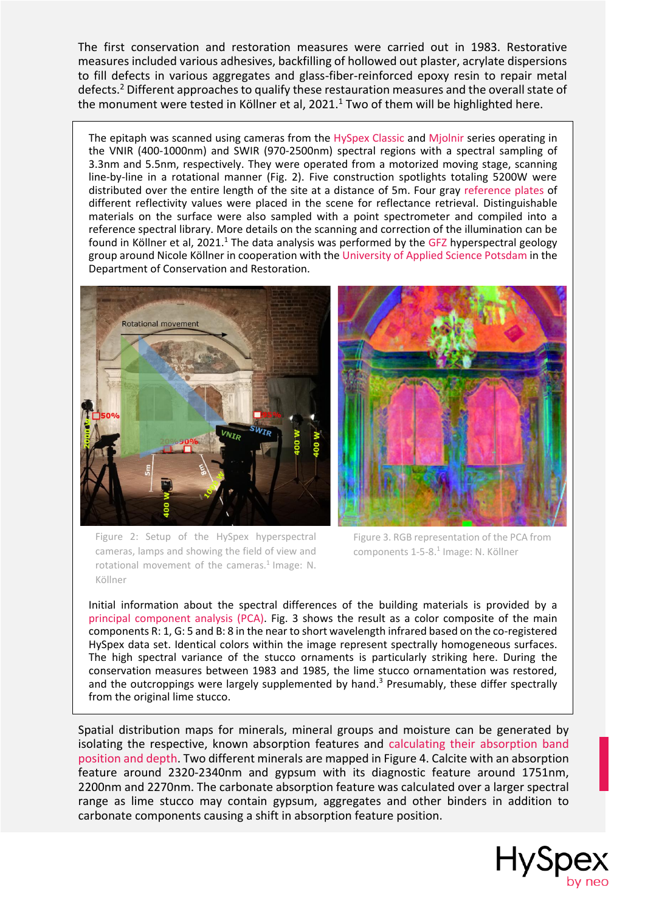The first conservation and restoration measures were carried out in 1983. Restorative measures included various adhesives, backfilling of hollowed out plaster, acrylate dispersions to fill defects in various aggregates and glass-fiber-reinforced epoxy resin to repair metal defects. <sup>2</sup> Different approaches to qualify these restauration measures and the overall state of the monument were tested in Köllner et al, 2021. <sup>1</sup> Two of them will be highlighted here.

The epitaph was scanned using cameras from the HySpex Classic and Mjolnir series operating in the VNIR (400-1000nm) and SWIR (970-2500nm) spectral regions with a spectral sampling of 3.3nm and 5.5nm, respectively. They were operated from a motorized moving stage, scanning line-by-line in a rotational manner (Fig. 2). Five construction spotlights totaling 5200W were distributed over the entire length of the site at a distance of 5m. Four gray reference plates of different reflectivity values were placed in the scene for reflectance retrieval. Distinguishable materials on the surface were also sampled with a point spectrometer and compiled into a reference spectral library. More details on the scanning and correction of the illumination can be found in Köllner et al, 2021.<sup>1</sup> The data analysis was performed by the GFZ hyperspectral geology group around Nicole Köllner in cooperation with the University of Applied Science Potsdam in the Department of Conservation and Restoration.





Figure 2: Setup of the HySpex hyperspectral cameras, lamps and showing the field of view and rotational movement of the cameras.<sup>1</sup> Image: N. Köllner

Figure 3. RGB representation of the PCA from components 1-5-8. 1 Image: N. Köllner

Initial information about the spectral differences of the building materials is provided by a principal component analysis (PCA). Fig. 3 shows the result as a color composite of the main components R: 1, G: 5 and B: 8 in the near to short wavelength infrared based on the co-registered HySpex data set. Identical colors within the image represent spectrally homogeneous surfaces. The high spectral variance of the stucco ornaments is particularly striking here. During the conservation measures between 1983 and 1985, the lime stucco ornamentation was restored, and the outcroppings were largely supplemented by hand.<sup>3</sup> Presumably, these differ spectrally from the original lime stucco.

Spatial distribution maps for minerals, mineral groups and moisture can be generated by isolating the respective, known absorption features and calculating their absorption band position and depth. Two different minerals are mapped in Figure 4. Calcite with an absorption feature around 2320-2340nm and gypsum with its diagnostic feature around 1751nm, 2200nm and 2270nm. The carbonate absorption feature was calculated over a larger spectral range as lime stucco may contain gypsum, aggregates and other binders in addition to carbonate components causing a shift in absorption feature position.